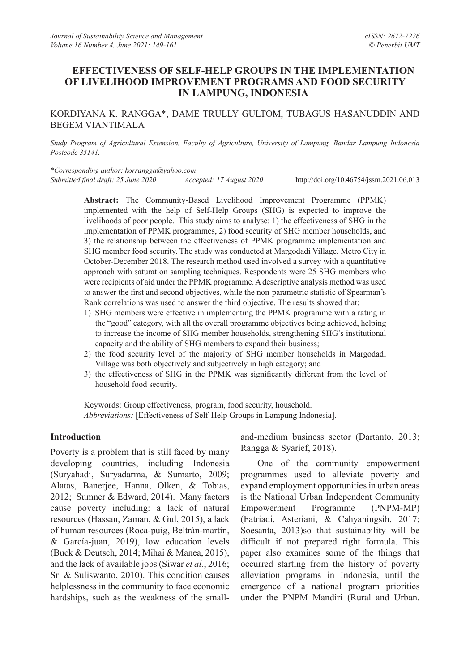## **EFFECTIVENESS OF SELF-HELP GROUPS IN THE IMPLEMENTATION OF LIVELIHOOD IMPROVEMENT PROGRAMS AND FOOD SECURITY IN LAMPUNG, INDONESIA**

KORDIYANA K. RANGGA\*, DAME TRULLY GULTOM, TUBAGUS HASANUDDIN AND BEGEM VIANTIMALA

*Study Program of Agricultural Extension, Faculty of Agriculture, University of Lampung, Bandar Lampung Indonesia Postcode 35141.*

*\*Corresponding author: korrangga@yahoo.com*

*Submitted final draft: 25 June 2020 Accepted: 17 August 2020*

http://doi.org/10.46754/jssm.2021.06.013

**Abstract:** The Community-Based Livelihood Improvement Programme (PPMK) implemented with the help of Self-Help Groups (SHG) is expected to improve the livelihoods of poor people. This study aims to analyse: 1) the effectiveness of SHG in the implementation of PPMK programmes, 2) food security of SHG member households, and 3) the relationship between the effectiveness of PPMK programme implementation and SHG member food security. The study was conducted at Margodadi Village, Metro City in October-December 2018. The research method used involved a survey with a quantitative approach with saturation sampling techniques. Respondents were 25 SHG members who were recipients of aid under the PPMK programme. A descriptive analysis method was used to answer the first and second objectives, while the non-parametric statistic of Spearman's Rank correlations was used to answer the third objective. The results showed that:

- 1) SHG members were effective in implementing the PPMK programme with a rating in the "good" category, with all the overall programme objectives being achieved, helping to increase the income of SHG member households, strengthening SHG's institutional capacity and the ability of SHG members to expand their business;
- 2) the food security level of the majority of SHG member households in Margodadi Village was both objectively and subjectively in high category; and
- 3) the effectiveness of SHG in the PPMK was significantly different from the level of household food security.

Keywords: Group effectiveness, program, food security, household. *Abbreviations:* [Effectiveness of Self-Help Groups in Lampung Indonesia].

### **Introduction**

Poverty is a problem that is still faced by many developing countries, including Indonesia (Suryahadi, Suryadarma, & Sumarto, 2009; Alatas, Banerjee, Hanna, Olken, & Tobias, 2012; Sumner & Edward, 2014). Many factors cause poverty including: a lack of natural resources (Hassan, Zaman, & Gul, 2015), a lack of human resources (Roca-puig, Beltrán-martín, & García-juan, 2019), low education levels (Buck & Deutsch, 2014; Mihai & Manea, 2015), and the lack of available jobs (Siwar *et al.*, 2016; Sri & Suliswanto, 2010). This condition causes helplessness in the community to face economic hardships, such as the weakness of the smalland-medium business sector (Dartanto, 2013; Rangga & Syarief, 2018).

One of the community empowerment programmes used to alleviate poverty and expand employment opportunities in urban areas is the National Urban Independent Community Empowerment Programme (PNPM-MP) (Fatriadi, Asteriani, & Cahyaningsih, 2017; Soesanta, 2013)so that sustainability will be difficult if not prepared right formula. This paper also examines some of the things that occurred starting from the history of poverty alleviation programs in Indonesia, until the emergence of a national program priorities under the PNPM Mandiri (Rural and Urban.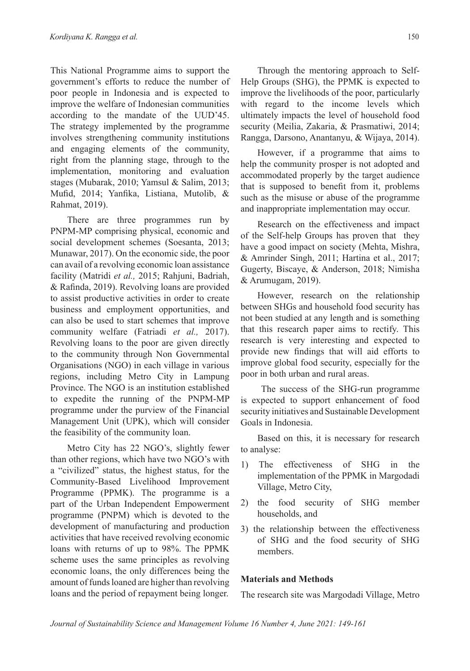This National Programme aims to support the government's efforts to reduce the number of poor people in Indonesia and is expected to improve the welfare of Indonesian communities according to the mandate of the UUD'45. The strategy implemented by the programme involves strengthening community institutions and engaging elements of the community, right from the planning stage, through to the implementation, monitoring and evaluation stages (Mubarak, 2010; Yamsul & Salim, 2013; Mufid, 2014; Yanfika, Listiana, Mutolib, & Rahmat, 2019).

There are three programmes run by PNPM-MP comprising physical, economic and social development schemes (Soesanta, 2013; Munawar, 2017). On the economic side, the poor can avail of a revolving economic loan assistance facility (Matridi *et al.,* 2015; Rahjuni, Badriah, & Rafinda, 2019). Revolving loans are provided to assist productive activities in order to create business and employment opportunities, and can also be used to start schemes that improve community welfare (Fatriadi *et al.,* 2017). Revolving loans to the poor are given directly to the community through Non Governmental Organisations (NGO) in each village in various regions, including Metro City in Lampung Province. The NGO is an institution established to expedite the running of the PNPM-MP programme under the purview of the Financial Management Unit (UPK), which will consider the feasibility of the community loan.

Metro City has 22 NGO's, slightly fewer than other regions, which have two NGO's with a "civilized" status, the highest status, for the Community-Based Livelihood Improvement Programme (PPMK). The programme is a part of the Urban Independent Empowerment programme (PNPM) which is devoted to the development of manufacturing and production activities that have received revolving economic loans with returns of up to 98%. The PPMK scheme uses the same principles as revolving economic loans, the only differences being the amount of funds loaned are higher than revolving loans and the period of repayment being longer.

Through the mentoring approach to Self-Help Groups (SHG), the PPMK is expected to improve the livelihoods of the poor, particularly with regard to the income levels which ultimately impacts the level of household food security (Meilia, Zakaria, & Prasmatiwi, 2014; Rangga, Darsono, Anantanyu, & Wijaya, 2014).

However, if a programme that aims to help the community prosper is not adopted and accommodated properly by the target audience that is supposed to benefit from it, problems such as the misuse or abuse of the programme and inappropriate implementation may occur.

Research on the effectiveness and impact of the Self-help Groups has proven that they have a good impact on society (Mehta, Mishra, & Amrinder Singh, 2011; Hartina et al., 2017; Gugerty, Biscaye, & Anderson, 2018; Nimisha & Arumugam, 2019).

However, research on the relationship between SHGs and household food security has not been studied at any length and is something that this research paper aims to rectify. This research is very interesting and expected to provide new findings that will aid efforts to improve global food security, especially for the poor in both urban and rural areas.

 The success of the SHG-run programme is expected to support enhancement of food security initiatives and Sustainable Development Goals in Indonesia.

Based on this, it is necessary for research to analyse:

- 1) The effectiveness of SHG in the implementation of the PPMK in Margodadi Village, Metro City,
- 2) the food security of SHG member households, and
- 3) the relationship between the effectiveness of SHG and the food security of SHG members.

## **Materials and Methods**

The research site was Margodadi Village, Metro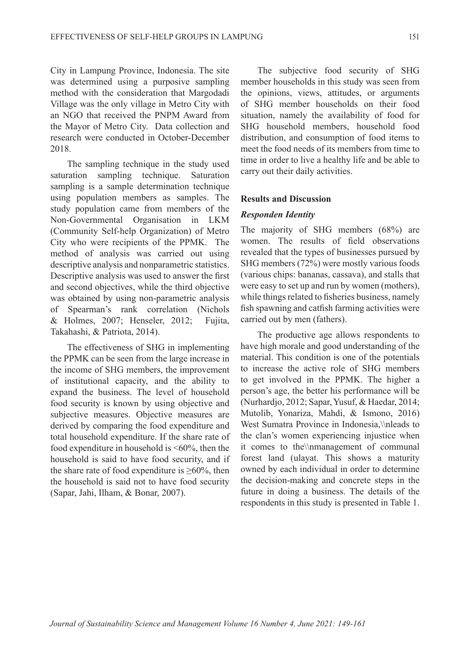City in Lampung Province, Indonesia. The site was determined using a purposive sampling method with the consideration that Margodadi Village was the only village in Metro City with an NGO that received the PNPM Award from the Mayor of Metro City. Data collection and research were conducted in October-December 2018.

The sampling technique in the study used saturation sampling technique. Saturation sampling is a sample determination technique using population members as samples. The study population came from members of the Non-Governmental Organisation in LKM (Community Self-help Organization) of Metro City who were recipients of the PPMK. The method of analysis was carried out using descriptive analysis and nonparametric statistics. Descriptive analysis was used to answer the first and second objectives, while the third objective was obtained by using non-parametric analysis of Spearman's rank correlation (Nichols & Holmes, 2007; Henseler, 2012; Fujita, Takahashi, & Patriota, 2014).

The effectiveness of SHG in implementing the PPMK can be seen from the large increase in the income of SHG members, the improvement of institutional capacity, and the ability to expand the business. The level of household food security is known by using objective and subjective measures. Objective measures are derived by comparing the food expenditure and total household expenditure. If the share rate of food expenditure in household is <60%, then the household is said to have food security, and if the share rate of food expenditure is  $\geq 60\%$ , then the household is said not to have food security (Sapar, Jahi, Ilham, & Bonar, 2007).

The subjective food security of SHG member households in this study was seen from the opinions, views, attitudes, or arguments of SHG member households on their food situation, namely the availability of food for SHG household members, household food distribution, and consumption of food items to meet the food needs of its members from time to time in order to live a healthy life and be able to carry out their daily activities.

#### **Results and Discussion**

### *Responden Identity*

The majority of SHG members (68%) are women. The results of field observations revealed that the types of businesses pursued by SHG members (72%) were mostly various foods (various chips: bananas, cassava), and stalls that were easy to set up and run by women (mothers), while things related to fisheries business, namely fish spawning and catfish farming activities were carried out by men (fathers).

The productive age allows respondents to have high morale and good understanding of the material. This condition is one of the potentials to increase the active role of SHG members to get involved in the PPMK. The higher a person's age, the better his performance will be (Nurhardjo, 2012; Sapar, Yusuf, & Haedar, 2014; Mutolib, Yonariza, Mahdi, & Ismono, 2016) West Sumatra Province in Indonesia,\\nleads to the clan's women experiencing injustice when it comes to the\\nmanagement of communal forest land (ulayat. This shows a maturity owned by each individual in order to determine the decision-making and concrete steps in the future in doing a business. The details of the respondents in this study is presented in Table 1.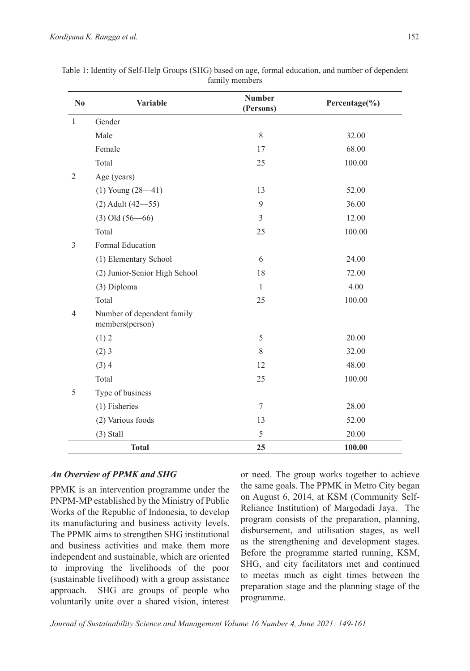| $\mathbf{N}\mathbf{0}$ | Variable                                      | <b>Number</b><br>(Persons) | Percentage(%) |
|------------------------|-----------------------------------------------|----------------------------|---------------|
| $\mathbf{1}$           | Gender                                        |                            |               |
|                        | Male                                          | 8                          | 32.00         |
|                        | Female                                        | 17                         | 68.00         |
|                        | Total                                         | 25                         | 100.00        |
| 2                      | Age (years)                                   |                            |               |
|                        | $(1)$ Young $(28 - 41)$                       | 13                         | 52.00         |
|                        | $(2)$ Adult $(42 - 55)$                       | 9                          | 36.00         |
|                        | $(3)$ Old $(56 - 66)$                         | 3                          | 12.00         |
|                        | Total                                         | 25                         | 100.00        |
| 3                      | <b>Formal Education</b>                       |                            |               |
|                        | (1) Elementary School                         | 6                          | 24.00         |
|                        | (2) Junior-Senior High School                 | 18                         | 72.00         |
|                        | (3) Diploma                                   | $\mathbf{1}$               | 4.00          |
|                        | Total                                         | 25                         | 100.00        |
| $\overline{4}$         | Number of dependent family<br>members(person) |                            |               |
|                        | (1) 2                                         | 5                          | 20.00         |
|                        | $(2)$ 3                                       | 8                          | 32.00         |
|                        | (3)4                                          | 12                         | 48.00         |
|                        | Total                                         | 25                         | 100.00        |
| 5                      | Type of business                              |                            |               |
|                        | $(1)$ Fisheries                               | 7                          | 28.00         |
|                        | (2) Various foods                             | 13                         | 52.00         |
|                        | $(3)$ Stall                                   | 5                          | 20.00         |
|                        | <b>Total</b>                                  | 25                         | 100.00        |

Table 1: Identity of Self-Help Groups (SHG) based on age, formal education, and number of dependent family members

## *An Overview of PPMK and SHG*

PPMK is an intervention programme under the PNPM-MP established by the Ministry of Public Works of the Republic of Indonesia, to develop its manufacturing and business activity levels. The PPMK aims to strengthen SHG institutional and business activities and make them more independent and sustainable, which are oriented to improving the livelihoods of the poor (sustainable livelihood) with a group assistance approach. SHG are groups of people who voluntarily unite over a shared vision, interest

or need. The group works together to achieve the same goals. The PPMK in Metro City began on August 6, 2014, at KSM (Community Self-Reliance Institution) of Margodadi Jaya. The program consists of the preparation, planning, disbursement, and utilisation stages, as well as the strengthening and development stages. Before the programme started running, KSM, SHG, and city facilitators met and continued to meetas much as eight times between the preparation stage and the planning stage of the programme.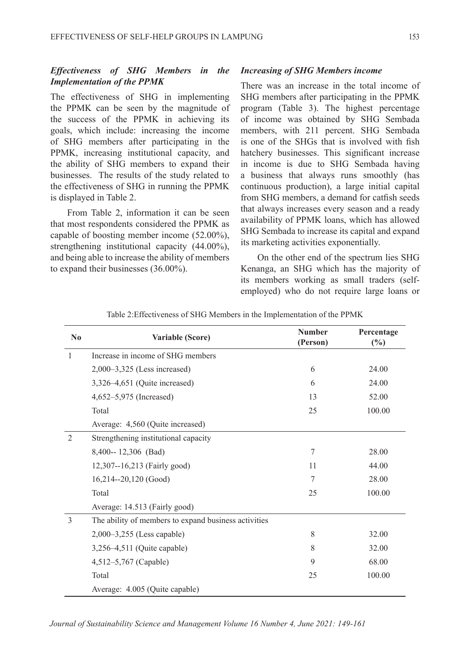### *Effectiveness of SHG Members in the Implementation of the PPMK*

The effectiveness of SHG in implementing the PPMK can be seen by the magnitude of the success of the PPMK in achieving its goals, which include: increasing the income of SHG members after participating in the PPMK, increasing institutional capacity, and the ability of SHG members to expand their businesses. The results of the study related to the effectiveness of SHG in running the PPMK is displayed in Table 2.

From Table 2, information it can be seen that most respondents considered the PPMK as capable of boosting member income (52.00%), strengthening institutional capacity (44.00%), and being able to increase the ability of members to expand their businesses (36.00%).

#### *Increasing of SHG Members income*

There was an increase in the total income of SHG members after participating in the PPMK program (Table 3). The highest percentage of income was obtained by SHG Sembada members, with 211 percent. SHG Sembada is one of the SHGs that is involved with fish hatchery businesses. This significant increase in income is due to SHG Sembada having a business that always runs smoothly (has continuous production), a large initial capital from SHG members, a demand for catfish seeds that always increases every season and a ready availability of PPMK loans, which has allowed SHG Sembada to increase its capital and expand its marketing activities exponentially.

On the other end of the spectrum lies SHG Kenanga, an SHG which has the majority of its members working as small traders (selfemployed) who do not require large loans or

| $\mathbf{N}\mathbf{0}$ | Variable (Score)                                     | <b>Number</b><br>(Person) | Percentage<br>(%) |
|------------------------|------------------------------------------------------|---------------------------|-------------------|
| 1                      | Increase in income of SHG members                    |                           |                   |
|                        | $2,000-3,325$ (Less increased)                       | 6                         | 24.00             |
|                        | 3,326-4,651 (Quite increased)                        | 6                         | 24.00             |
|                        | 4,652-5,975 (Increased)                              | 13                        | 52.00             |
|                        | Total                                                | 25                        | 100.00            |
|                        | Average: 4,560 (Quite increased)                     |                           |                   |
| $\overline{2}$         | Strengthening institutional capacity                 |                           |                   |
|                        | 8,400-- 12,306 (Bad)                                 | 7                         | 28.00             |
|                        | 12,307--16,213 (Fairly good)                         | 11                        | 44.00             |
|                        | 16,214--20,120 (Good)                                | 7                         | 28.00             |
|                        | Total                                                | 25                        | 100.00            |
|                        | Average: 14.513 (Fairly good)                        |                           |                   |
| 3                      | The ability of members to expand business activities |                           |                   |
|                        | $2,000-3,255$ (Less capable)                         | 8                         | 32.00             |
|                        | 3,256-4,511 (Quite capable)                          | 8                         | 32.00             |
|                        | 4,512–5,767 (Capable)                                | 9                         | 68.00             |
|                        | Total                                                | 25                        | 100.00            |
|                        | Average: 4.005 (Quite capable)                       |                           |                   |

Table 2:Effectiveness of SHG Members in the Implementation of the PPMK

*Journal of Sustainability Science and Management Volume 16 Number 4, June 2021: 149-161*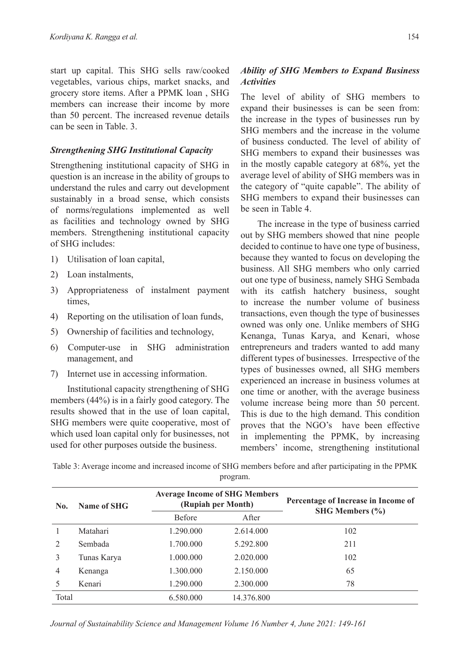start up capital. This SHG sells raw/cooked vegetables, various chips, market snacks, and grocery store items. After a PPMK loan , SHG members can increase their income by more than 50 percent. The increased revenue details can be seen in Table. 3.

## *Strengthening SHG Institutional Capacity*

Strengthening institutional capacity of SHG in question is an increase in the ability of groups to understand the rules and carry out development sustainably in a broad sense, which consists of norms/regulations implemented as well as facilities and technology owned by SHG members. Strengthening institutional capacity of SHG includes:

- 1) Utilisation of loan capital,
- 2) Loan instalments,
- 3) Appropriateness of instalment payment times,
- 4) Reporting on the utilisation of loan funds,
- 5) Ownership of facilities and technology,
- 6) Computer-use in SHG administration management, and
- 7) Internet use in accessing information.

Institutional capacity strengthening of SHG members (44%) is in a fairly good category. The results showed that in the use of loan capital, SHG members were quite cooperative, most of which used loan capital only for businesses, not used for other purposes outside the business.

# *Ability of SHG Members to Expand Business Activities*

The level of ability of SHG members to expand their businesses is can be seen from: the increase in the types of businesses run by SHG members and the increase in the volume of business conducted. The level of ability of SHG members to expand their businesses was in the mostly capable category at 68%, yet the average level of ability of SHG members was in the category of "quite capable". The ability of SHG members to expand their businesses can be seen in Table 4.

The increase in the type of business carried out by SHG members showed that nine people decided to continue to have one type of business, because they wanted to focus on developing the business. All SHG members who only carried out one type of business, namely SHG Sembada with its catfish hatchery business, sought to increase the number volume of business transactions, even though the type of businesses owned was only one. Unlike members of SHG Kenanga, Tunas Karya, and Kenari, whose entrepreneurs and traders wanted to add many different types of businesses. Irrespective of the types of businesses owned, all SHG members experienced an increase in business volumes at one time or another, with the average business volume increase being more than 50 percent. This is due to the high demand. This condition proves that the NGO's have been effective in implementing the PPMK, by increasing members' income, strengthening institutional

Table 3: Average income and increased income of SHG members before and after participating in the PPMK program.

| No.                           | Name of SHG | <b>Average Income of SHG Members</b><br>(Rupiah per Month) |            | Percentage of Increase in Income of |
|-------------------------------|-------------|------------------------------------------------------------|------------|-------------------------------------|
|                               |             | <b>Before</b>                                              | After      | <b>SHG Members (%)</b>              |
|                               | Matahari    | 1.290.000                                                  | 2.614.000  | 102                                 |
| $\mathfrak{D}_{\mathfrak{p}}$ | Sembada     | 1.700.000                                                  | 5.292.800  | 211                                 |
| 3                             | Tunas Karya | 1.000.000                                                  | 2.020.000  | 102                                 |
| 4                             | Kenanga     | 1.300.000                                                  | 2.150.000  | 65                                  |
| 5                             | Kenari      | 1.290.000                                                  | 2.300.000  | 78                                  |
| Total                         |             | 6.580.000                                                  | 14.376.800 |                                     |

*Journal of Sustainability Science and Management Volume 16 Number 4, June 2021: 149-161*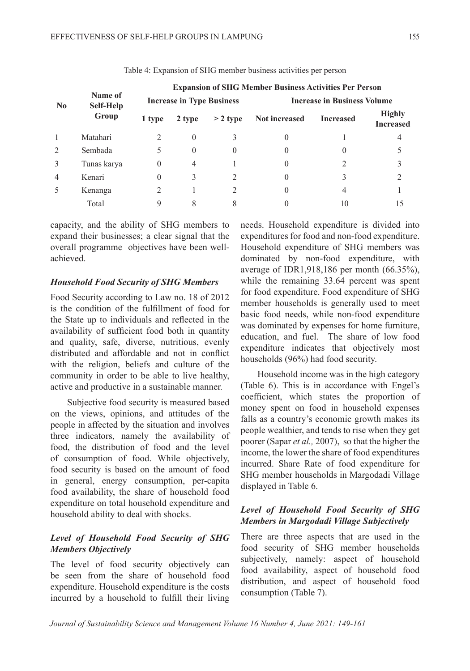|                           | Name of<br>Self-Help<br>Group | <b>Expansion of SHG Member Business Activities Per Person</b> |          |            |                                    |                  |                                   |  |
|---------------------------|-------------------------------|---------------------------------------------------------------|----------|------------|------------------------------------|------------------|-----------------------------------|--|
| $\mathbf{N}$ <sub>0</sub> |                               | <b>Increase in Type Business</b>                              |          |            | <b>Increase in Business Volume</b> |                  |                                   |  |
|                           |                               | 1 type                                                        | 2 type   | $>$ 2 type | <b>Not increased</b>               | <b>Increased</b> | <b>Highly</b><br><b>Increased</b> |  |
|                           | Matahari                      |                                                               |          |            | $\theta$                           |                  |                                   |  |
| 2                         | Sembada                       |                                                               | $\Omega$ |            | 0                                  |                  |                                   |  |
| 3                         | Tunas karya                   | $\theta$                                                      | 4        |            | 0                                  |                  |                                   |  |
| $\overline{4}$            | Kenari                        | 0                                                             |          |            | 0                                  |                  |                                   |  |
| 5                         | Kenanga                       |                                                               |          |            | 0                                  | 4                |                                   |  |
|                           | Total                         | 9                                                             |          |            |                                    | 10               |                                   |  |

Table 4: Expansion of SHG member business activities per person

capacity, and the ability of SHG members to expand their businesses; a clear signal that the overall programme objectives have been wellachieved.

### *Household Food Security of SHG Members*

Food Security according to Law no. 18 of 2012 is the condition of the fulfillment of food for the State up to individuals and reflected in the availability of sufficient food both in quantity and quality, safe, diverse, nutritious, evenly distributed and affordable and not in conflict with the religion, beliefs and culture of the community in order to be able to live healthy, active and productive in a sustainable manner.

Subjective food security is measured based on the views, opinions, and attitudes of the people in affected by the situation and involves three indicators, namely the availability of food, the distribution of food and the level of consumption of food. While objectively, food security is based on the amount of food in general, energy consumption, per-capita food availability, the share of household food expenditure on total household expenditure and household ability to deal with shocks.

## *Level of Household Food Security of SHG Members Objectively*

The level of food security objectively can be seen from the share of household food expenditure. Household expenditure is the costs incurred by a household to fulfill their living needs. Household expenditure is divided into expenditures for food and non-food expenditure. Household expenditure of SHG members was dominated by non-food expenditure, with average of IDR1,918,186 per month (66.35%), while the remaining 33.64 percent was spent for food expenditure. Food expenditure of SHG member households is generally used to meet basic food needs, while non-food expenditure was dominated by expenses for home furniture, education, and fuel. The share of low food expenditure indicates that objectively most households (96%) had food security.

Household income was in the high category (Table 6). This is in accordance with Engel's coefficient, which states the proportion of money spent on food in household expenses falls as a country's economic growth makes its people wealthier, and tends to rise when they get poorer (Sapar *et al.,* 2007), so that the higher the income, the lower the share of food expenditures incurred. Share Rate of food expenditure for SHG member households in Margodadi Village displayed in Table 6.

## *Level of Household Food Security of SHG Members in Margodadi Village Subjectively*

There are three aspects that are used in the food security of SHG member households subjectively, namely: aspect of household food availability, aspect of household food distribution, and aspect of household food consumption (Table 7).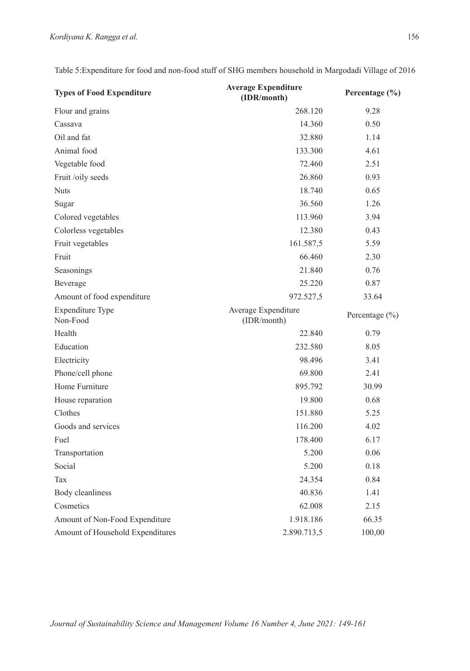| <b>Types of Food Expenditure</b>    | <b>Average Expenditure</b><br>(IDR/month) | Percentage (%) |
|-------------------------------------|-------------------------------------------|----------------|
| Flour and grains                    | 268.120                                   | 9.28           |
| Cassava                             | 14.360                                    | 0.50           |
| Oil and fat                         | 32.880                                    | 1.14           |
| Animal food                         | 133.300                                   | 4.61           |
| Vegetable food                      | 72.460                                    | 2.51           |
| Fruit /oily seeds                   | 26.860                                    | 0.93           |
| <b>Nuts</b>                         | 18.740                                    | 0.65           |
| Sugar                               | 36.560                                    | 1.26           |
| Colored vegetables                  | 113.960                                   | 3.94           |
| Colorless vegetables                | 12.380                                    | 0.43           |
| Fruit vegetables                    | 161.587,5                                 | 5.59           |
| Fruit                               | 66.460                                    | 2.30           |
| Seasonings                          | 21.840                                    | 0.76           |
| Beverage                            | 25.220                                    | 0.87           |
| Amount of food expenditure          | 972.527,5                                 | 33.64          |
| <b>Expenditure Type</b><br>Non-Food | Average Expenditure<br>(IDR/month)        | Percentage (%) |
| Health                              | 22.840                                    | 0.79           |
| Education                           | 232.580                                   | 8.05           |
| Electricity                         | 98.496                                    | 3.41           |
| Phone/cell phone                    | 69.800                                    | 2.41           |
| Home Furniture                      | 895.792                                   | 30.99          |
| House reparation                    | 19.800                                    | 0.68           |
| Clothes                             | 151.880                                   | 5.25           |
| Goods and services                  | 116.200                                   | 4.02           |
| Fuel                                | 178.400                                   | 6.17           |
| Transportation                      | 5.200                                     | 0.06           |
| Social                              | 5.200                                     | 0.18           |
| Tax                                 | 24.354                                    | 0.84           |
| Body cleanliness                    | 40.836                                    | 1.41           |
| Cosmetics                           | 62.008                                    | 2.15           |
| Amount of Non-Food Expenditure      | 1.918.186                                 | 66.35          |
| Amount of Household Expenditures    | 2.890.713,5                               | 100,00         |

Table 5:Expenditure for food and non-food stuff of SHG members household in Margodadi Village of 2016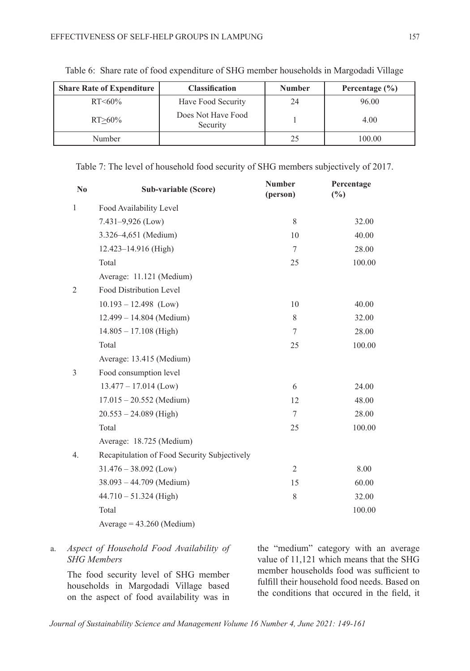| <b>Share Rate of Expenditure</b> | <b>Classification</b>          | <b>Number</b> | Percentage $(\% )$ |
|----------------------------------|--------------------------------|---------------|--------------------|
| $RT < 60\%$                      | Have Food Security             | 24            | 96.00              |
| $RT > 60\%$                      | Does Not Have Food<br>Security |               | 4.00               |
| Number                           |                                | 25            | 100.00             |

Table 6: Share rate of food expenditure of SHG member households in Margodadi Village

Table 7: The level of household food security of SHG members subjectively of 2017.

| N <sub>0</sub> | Sub-variable (Score)                         | <b>Number</b><br>(person) | Percentage<br>(%) |
|----------------|----------------------------------------------|---------------------------|-------------------|
| $\mathbf{1}$   | Food Availability Level                      |                           |                   |
|                | $7.431 - 9.926$ (Low)                        | 8                         | 32.00             |
|                | 3.326-4,651 (Medium)                         | 10                        | 40.00             |
|                | 12.423-14.916 (High)                         | $\overline{7}$            | 28.00             |
|                | Total                                        | 25                        | 100.00            |
|                | Average: 11.121 (Medium)                     |                           |                   |
| $\overline{2}$ | Food Distribution Level                      |                           |                   |
|                | $10.193 - 12.498$ (Low)                      | 10                        | 40.00             |
|                | $12.499 - 14.804$ (Medium)                   | 8                         | 32.00             |
|                | $14.805 - 17.108$ (High)                     | $\tau$                    | 28.00             |
|                | Total                                        | 25                        | 100.00            |
|                | Average: 13.415 (Medium)                     |                           |                   |
| 3              | Food consumption level                       |                           |                   |
|                | $13.477 - 17.014$ (Low)                      | 6                         | 24.00             |
|                | $17.015 - 20.552$ (Medium)                   | 12                        | 48.00             |
|                | $20.553 - 24.089$ (High)                     | $\tau$                    | 28.00             |
|                | Total                                        | 25                        | 100.00            |
|                | Average: 18.725 (Medium)                     |                           |                   |
| 4.             | Recapitulation of Food Security Subjectively |                           |                   |
|                | $31.476 - 38.092$ (Low)                      | $\overline{2}$            | 8.00              |
|                | $38.093 - 44.709$ (Medium)                   | 15                        | 60.00             |
|                | $44.710 - 51.324$ (High)                     | 8                         | 32.00             |
|                | Total                                        |                           | 100.00            |
|                | $Average = 43.260 (Median)$                  |                           |                   |

## a. *Aspect of Household Food Availability of SHG Members*

The food security level of SHG member households in Margodadi Village based on the aspect of food availability was in

the "medium" category with an average value of 11,121 which means that the SHG member households food was sufficient to fulfill their household food needs. Based on the conditions that occured in the field, it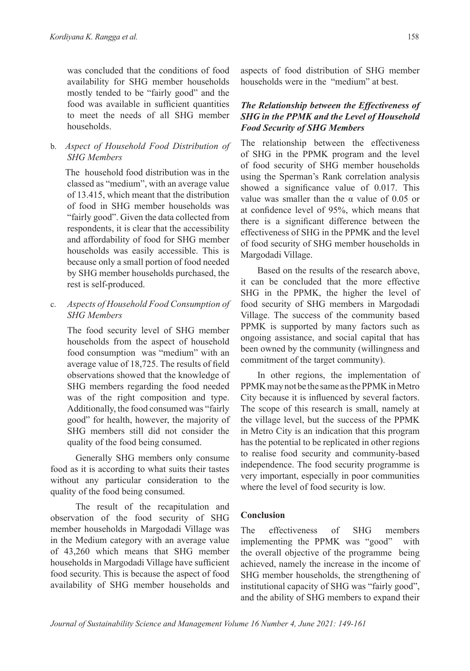was concluded that the conditions of food availability for SHG member households mostly tended to be "fairly good" and the food was available in sufficient quantities to meet the needs of all SHG member households.

b. *Aspect of Household Food Distribution of SHG Members*

The household food distribution was in the classed as "medium", with an average value of 13.415, which meant that the distribution of food in SHG member households was "fairly good". Given the data collected from respondents, it is clear that the accessibility and affordability of food for SHG member households was easily accessible. This is because only a small portion of food needed by SHG member households purchased, the rest is self-produced.

c. *Aspects of Household Food Consumption of SHG Members*

The food security level of SHG member households from the aspect of household food consumption was "medium" with an average value of 18,725. The results of field observations showed that the knowledge of SHG members regarding the food needed was of the right composition and type. Additionally, the food consumed was "fairly good" for health, however, the majority of SHG members still did not consider the quality of the food being consumed.

Generally SHG members only consume food as it is according to what suits their tastes without any particular consideration to the quality of the food being consumed.

The result of the recapitulation and observation of the food security of SHG member households in Margodadi Village was in the Medium category with an average value of 43,260 which means that SHG member households in Margodadi Village have sufficient food security. This is because the aspect of food availability of SHG member households and aspects of food distribution of SHG member households were in the "medium" at best.

## *The Relationship between the Effectiveness of SHG in the PPMK and the Level of Household Food Security of SHG Members*

The relationship between the effectiveness of SHG in the PPMK program and the level of food security of SHG member households using the Sperman's Rank correlation analysis showed a significance value of 0.017. This value was smaller than the  $\alpha$  value of 0.05 or at confidence level of 95%, which means that there is a significant difference between the effectiveness of SHG in the PPMK and the level of food security of SHG member households in Margodadi Village.

Based on the results of the research above, it can be concluded that the more effective SHG in the PPMK, the higher the level of food security of SHG members in Margodadi Village. The success of the community based PPMK is supported by many factors such as ongoing assistance, and social capital that has been owned by the community (willingness and commitment of the target community).

In other regions, the implementation of PPMK may not be the same as the PPMK in Metro City because it is influenced by several factors. The scope of this research is small, namely at the village level, but the success of the PPMK in Metro City is an indication that this program has the potential to be replicated in other regions to realise food security and community-based independence. The food security programme is very important, especially in poor communities where the level of food security is low.

# **Conclusion**

The effectiveness of SHG members implementing the PPMK was "good" with the overall objective of the programme being achieved, namely the increase in the income of SHG member households, the strengthening of institutional capacity of SHG was "fairly good", and the ability of SHG members to expand their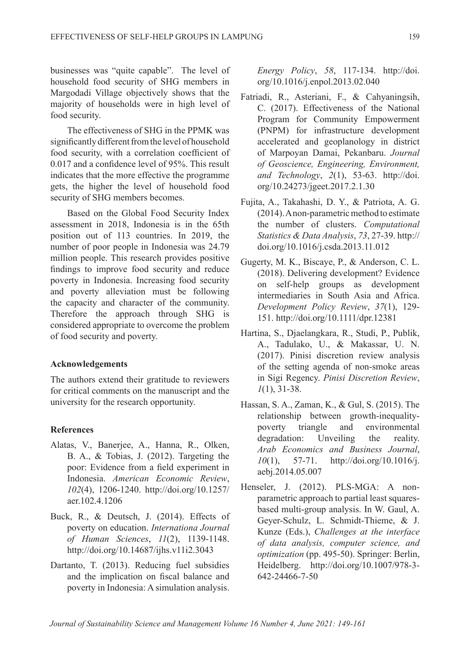businesses was "quite capable". The level of household food security of SHG members in Margodadi Village objectively shows that the majority of households were in high level of food security.

The effectiveness of SHG in the PPMK was significantly different from the level of household food security, with a correlation coefficient of 0.017 and a confidence level of 95%. This result indicates that the more effective the programme gets, the higher the level of household food security of SHG members becomes.

Based on the Global Food Security Index assessment in 2018, Indonesia is in the 65th position out of 113 countries. In 2019, the number of poor people in Indonesia was 24.79 million people. This research provides positive findings to improve food security and reduce poverty in Indonesia. Increasing food security and poverty alleviation must be following the capacity and character of the community. Therefore the approach through SHG is considered appropriate to overcome the problem of food security and poverty.

### **Acknowledgements**

The authors extend their gratitude to reviewers for critical comments on the manuscript and the university for the research opportunity.

### **References**

- Alatas, V., Banerjee, A., Hanna, R., Olken, B. A., & Tobias, J. (2012). Targeting the poor: Evidence from a field experiment in Indonesia. *American Economic Review*, *102*(4), 1206-1240. http://doi.org/10.1257/ aer.102.4.1206
- Buck, R., & Deutsch, J. (2014). Effects of poverty on education. *Internationa Journal of Human Sciences*, *11*(2), 1139-1148. http://doi.org/10.14687/ijhs.v11i2.3043
- Dartanto, T. (2013). Reducing fuel subsidies and the implication on fiscal balance and poverty in Indonesia: A simulation analysis.

*Energy Policy*, *58*, 117-134. http://doi. org/10.1016/j.enpol.2013.02.040

- Fatriadi, R., Asteriani, F., & Cahyaningsih, C. (2017). Effectiveness of the National Program for Community Empowerment (PNPM) for infrastructure development accelerated and geoplanology in district of Marpoyan Damai, Pekanbaru. *Journal of Geoscience, Engineering, Environment, and Technology*, *2*(1), 53-63. http://doi. org/10.24273/jgeet.2017.2.1.30
- Fujita, A., Takahashi, D. Y., & Patriota, A. G. (2014). A non-parametric method to estimate the number of clusters. *Computational Statistics & Data Analysis*, *73*, 27-39. http:// doi.org/10.1016/j.csda.2013.11.012
- Gugerty, M. K., Biscaye, P., & Anderson, C. L. (2018). Delivering development? Evidence on self-help groups as development intermediaries in South Asia and Africa. *Development Policy Review*, *37*(1), 129- 151. http://doi.org/10.1111/dpr.12381
- Hartina, S., Djaelangkara, R., Studi, P., Publik, A., Tadulako, U., & Makassar, U. N. (2017). Pinisi discretion review analysis of the setting agenda of non-smoke areas in Sigi Regency. *Pinisi Discretion Review*, *1*(1), 31-38.
- Hassan, S. A., Zaman, K., & Gul, S. (2015). The relationship between growth-inequalitypoverty triangle and environmental degradation: Unveiling the reality. *Arab Economics and Business Journal*, *10*(1), 57-71. http://doi.org/10.1016/j. aebj.2014.05.007
- Henseler, J. (2012). PLS-MGA: A nonparametric approach to partial least squaresbased multi-group analysis. In W. Gaul, A. Geyer-Schulz, L. Schmidt-Thieme, & J. Kunze (Eds.), *Challenges at the interface of data analysis, computer science, and optimization* (pp. 495-50). Springer: Berlin, Heidelberg. http://doi.org/10.1007/978-3- 642-24466-7-50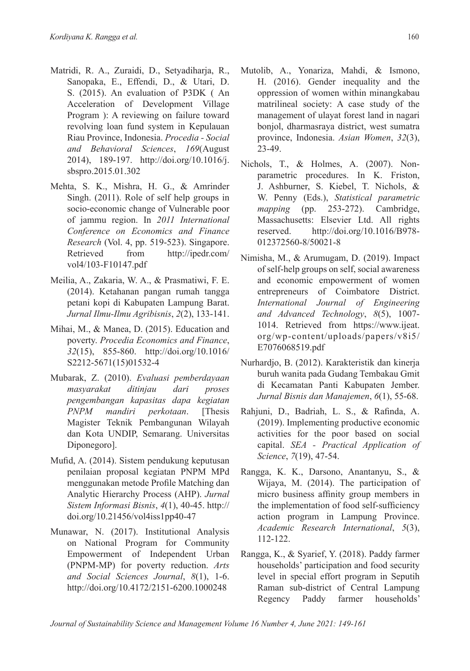- Matridi, R. A., Zuraidi, D., Setyadiharja, R., Sanopaka, E., Effendi, D., & Utari, D. S. (2015). An evaluation of P3DK ( An Acceleration of Development Village Program ): A reviewing on failure toward revolving loan fund system in Kepulauan Riau Province, Indonesia. *Procedia - Social and Behavioral Sciences*, *169*(August 2014), 189-197. http://doi.org/10.1016/j. sbspro.2015.01.302
- Mehta, S. K., Mishra, H. G., & Amrinder Singh. (2011). Role of self help groups in socio-economic change of Vulnerable poor of jammu region. In *2011 International Conference on Economics and Finance Research* (Vol. 4, pp. 519-523). Singapore. Retrieved from http://ipedr.com/ vol4/103-F10147.pdf
- Meilia, A., Zakaria, W. A., & Prasmatiwi, F. E. (2014). Ketahanan pangan rumah tangga petani kopi di Kabupaten Lampung Barat. *Jurnal Ilmu-Ilmu Agribisnis*, *2*(2), 133-141.
- Mihai, M., & Manea, D. (2015). Education and poverty. *Procedia Economics and Finance*, *32*(15), 855-860. http://doi.org/10.1016/ S2212-5671(15)01532-4
- Mubarak, Z. (2010). *Evaluasi pemberdayaan masyarakat ditinjau dari proses pengembangan kapasitas dapa kegiatan PNPM mandiri perkotaan*. [Thesis Magister Teknik Pembangunan Wilayah dan Kota UNDIP, Semarang. Universitas Diponegoro].
- Mufid, A. (2014). Sistem pendukung keputusan penilaian proposal kegiatan PNPM MPd menggunakan metode Profile Matching dan Analytic Hierarchy Process (AHP). *Jurnal Sistem Informasi Bisnis*, *4*(1), 40-45. http:// doi.org/10.21456/vol4iss1pp40-47
- Munawar, N. (2017). Institutional Analysis on National Program for Community Empowerment of Independent Urban (PNPM-MP) for poverty reduction. *Arts and Social Sciences Journal*, *8*(1), 1-6. http://doi.org/10.4172/2151-6200.1000248
- Mutolib, A., Yonariza, Mahdi, & Ismono, H. (2016). Gender inequality and the oppression of women within minangkabau matrilineal society: A case study of the management of ulayat forest land in nagari bonjol, dharmasraya district, west sumatra province, Indonesia. *Asian Women*, *32*(3), 23-49.
- Nichols, T., & Holmes, A. (2007). Nonparametric procedures. In K. Friston, J. Ashburner, S. Kiebel, T. Nichols, & W. Penny (Eds.), *Statistical parametric mapping* (pp. 253-272). Cambridge, Massachusetts: Elsevier Ltd. All rights reserved. http://doi.org/10.1016/B978- 012372560-8/50021-8
- Nimisha, M., & Arumugam, D. (2019). Impact of self-help groups on self, social awareness and economic empowerment of women entrepreneurs of Coimbatore District. *International Journal of Engineering and Advanced Technology*, *8*(5), 1007- 1014. Retrieved from https://www.ijeat. org/wp-content/uploads/papers/v8i5/ E7076068519.pdf
- Nurhardjo, B. (2012). Karakteristik dan kinerja buruh wanita pada Gudang Tembakau Gmit di Kecamatan Panti Kabupaten Jember. *Jurnal Bisnis dan Manajemen*, *6*(1), 55-68.
- Rahjuni, D., Badriah, L. S., & Rafinda, A. (2019). Implementing productive economic activities for the poor based on social capital. *SEA - Practical Application of Science*, *7*(19), 47-54.
- Rangga, K. K., Darsono, Anantanyu, S., & Wijaya, M. (2014). The participation of micro business affinity group members in the implementation of food self-sufficiency action program in Lampung Province. *Academic Research International*, *5*(3), 112-122.
- Rangga, K., & Syarief, Y. (2018). Paddy farmer households' participation and food security level in special effort program in Seputih Raman sub-district of Central Lampung Regency Paddy farmer households'